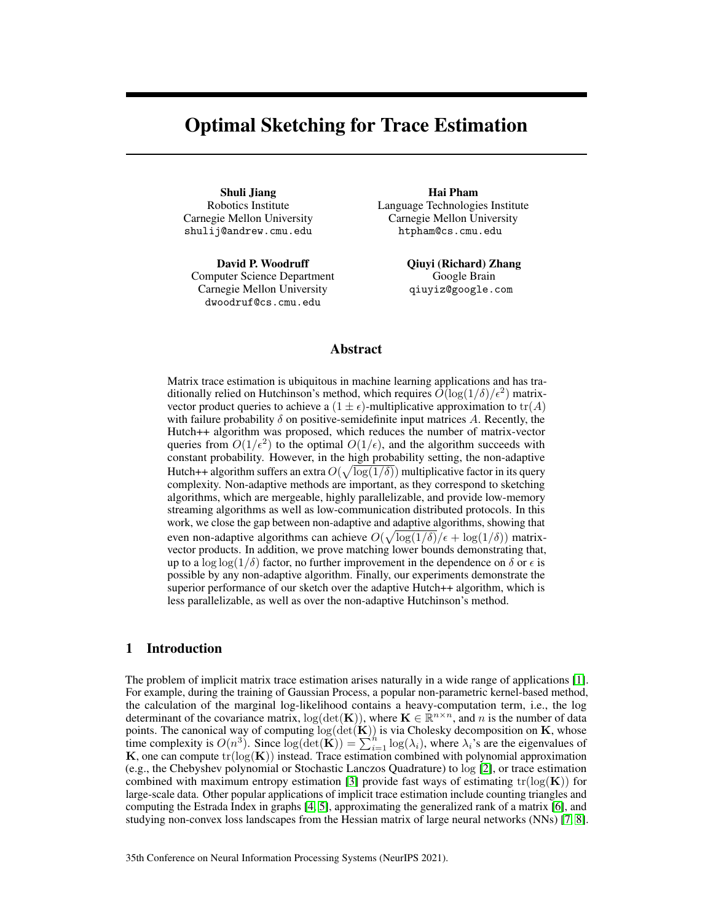# <span id="page-0-0"></span>Optimal Sketching for Trace Estimation

Shuli Jiang Robotics Institute Carnegie Mellon University shulij@andrew.cmu.edu

David P. Woodruff Computer Science Department Carnegie Mellon University dwoodruf@cs.cmu.edu

Hai Pham Language Technologies Institute Carnegie Mellon University htpham@cs.cmu.edu

> Qiuyi (Richard) Zhang Google Brain qiuyiz@google.com

# Abstract

Matrix trace estimation is ubiquitous in machine learning applications and has traditionally relied on Hutchinson's method, which requires  $\tilde{O}(\log(1/\delta)/\epsilon^2)$  matrixvector product queries to achieve a  $(1 \pm \epsilon)$ -multiplicative approximation to  $tr(A)$ with failure probability  $\delta$  on positive-semidefinite input matrices A. Recently, the Hutch++ algorithm was proposed, which reduces the number of matrix-vector queries from  $O(1/\epsilon^2)$  to the optimal  $O(1/\epsilon)$ , and the algorithm succeeds with constant probability. However, in the high probability setting, the non-adaptive Hutch++ algorithm suffers an extra  $O(\sqrt{\log(1/\delta)})$  multiplicative factor in its query complexity. Non-adaptive methods are important, as they correspond to sketching algorithms, which are mergeable, highly parallelizable, and provide low-memory streaming algorithms as well as low-communication distributed protocols. In this work, we close the gap between non-adaptive and adaptive algorithms, showing that even non-adaptive algorithms can achieve  $O(\sqrt{\log(1/\delta)}/\epsilon + \log(1/\delta))$  matrixvector products. In addition, we prove matching lower bounds demonstrating that, up to a log log( $1/\delta$ ) factor, no further improvement in the dependence on  $\delta$  or  $\epsilon$  is possible by any non-adaptive algorithm. Finally, our experiments demonstrate the superior performance of our sketch over the adaptive Hutch++ algorithm, which is less parallelizable, as well as over the non-adaptive Hutchinson's method.

## <span id="page-0-1"></span>1 Introduction

The problem of implicit matrix trace estimation arises naturally in a wide range of applications [\[1\]](#page-10-0). For example, during the training of Gaussian Process, a popular non-parametric kernel-based method, the calculation of the marginal log-likelihood contains a heavy-computation term, i.e., the log determinant of the covariance matrix,  $log(det(K))$ , where  $K \in \mathbb{R}^{n \times n}$ , and n is the number of data points. The canonical way of computing  $log(det(K))$  is via Cholesky decomposition on K, whose time complexity is  $O(n^3)$ . Since  $\log(\det(\mathbf{K})) = \sum_{i=1}^{h} \log(\lambda_i)$ , where  $\lambda_i$ 's are the eigenvalues of K, one can compute  $tr(log(K))$  instead. Trace estimation combined with polynomial approximation (e.g., the Chebyshev polynomial or Stochastic Lanczos Quadrature) to log [\[2\]](#page-10-1), or trace estimation combined with maximum entropy estimation [\[3\]](#page-10-2) provide fast ways of estimating  $tr(log(K))$  for large-scale data. Other popular applications of implicit trace estimation include counting triangles and computing the Estrada Index in graphs [\[4,](#page-10-3) [5\]](#page-10-4), approximating the generalized rank of a matrix [\[6\]](#page-10-5), and studying non-convex loss landscapes from the Hessian matrix of large neural networks (NNs) [\[7,](#page-10-6) [8\]](#page-10-7).

35th Conference on Neural Information Processing Systems (NeurIPS 2021).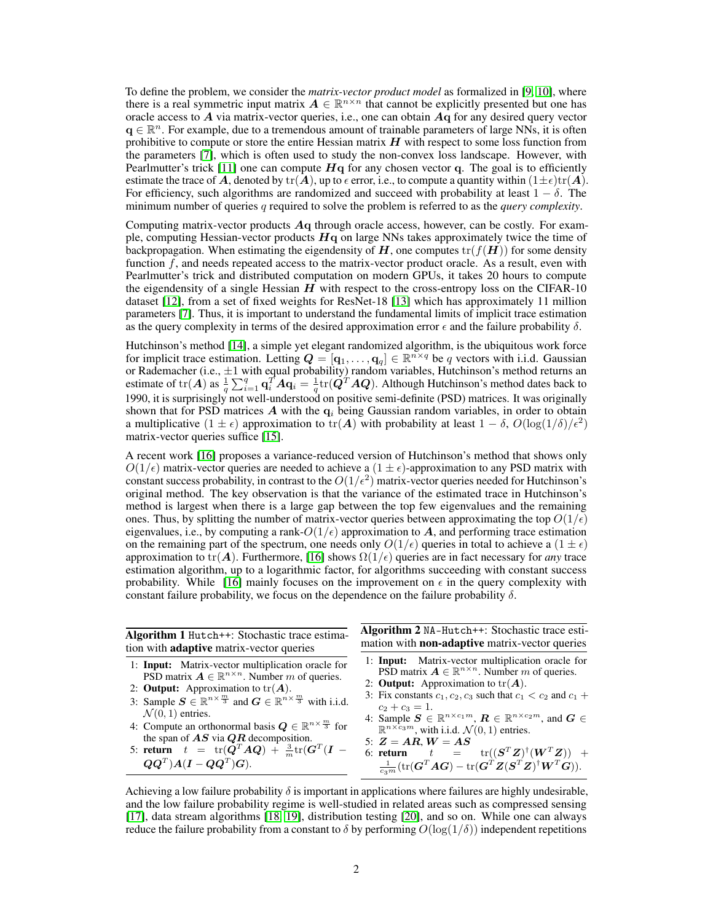To define the problem, we consider the *matrix-vector product model* as formalized in [\[9,](#page-10-8) [10\]](#page-10-9), where there is a real symmetric input matrix  $A \in \mathbb{R}^{n \times n}$  that cannot be explicitly presented but one has oracle access to  $\vec{A}$  via matrix-vector queries, i.e., one can obtain  $\vec{A}$  q for any desired query vector  $\mathbf{q} \in \mathbb{R}^n$ . For example, due to a tremendous amount of trainable parameters of large NNs, it is often prohibitive to compute or store the entire Hessian matrix  $H$  with respect to some loss function from the parameters [\[7\]](#page-10-6), which is often used to study the non-convex loss landscape. However, with Pearlmutter's trick [\[11\]](#page-10-10) one can compute  $Hq$  for any chosen vector q. The goal is to efficiently estimate the trace of A, denoted by  $tr(A)$ , up to  $\epsilon$  error, i.e., to compute a quantity within  $(1 \pm \epsilon)tr(A)$ . For efficiency, such algorithms are randomized and succeed with probability at least  $1 - \delta$ . The minimum number of queries q required to solve the problem is referred to as the *query complexity*.

Computing matrix-vector products Aq through oracle access, however, can be costly. For example, computing Hessian-vector products  $H<sub>q</sub>$  on large NNs takes approximately twice the time of backpropagation. When estimating the eigendensity of H, one computes  $tr(f(H))$  for some density function  $f$ , and needs repeated access to the matrix-vector product oracle. As a result, even with Pearlmutter's trick and distributed computation on modern GPUs, it takes 20 hours to compute the eigendensity of a single Hessian  $H$  with respect to the cross-entropy loss on the CIFAR-10 dataset [\[12\]](#page-10-11), from a set of fixed weights for ResNet-18 [\[13\]](#page-10-12) which has approximately 11 million parameters [\[7\]](#page-10-6). Thus, it is important to understand the fundamental limits of implicit trace estimation as the query complexity in terms of the desired approximation error  $\epsilon$  and the failure probability  $\delta$ .

Hutchinson's method [\[14\]](#page-10-13), a simple yet elegant randomized algorithm, is the ubiquitous work force for implicit trace estimation. Letting  $\mathbf{Q} = [\mathbf{q}_1, \dots, \mathbf{q}_q] \in \mathbb{R}^{n \times q}$  be q vectors with i.i.d. Gaussian or Rademacher (i.e.,  $\pm 1$  with equal probability) random variables, Hutchinson's method returns an estimate of tr(A) as  $\frac{1}{q} \sum_{i=1}^q \mathbf{q}_i^T A \mathbf{q}_i = \frac{1}{q} \text{tr}(\mathbf{Q}^T A \mathbf{Q})$ . Although Hutchinson's method dates back to 1990, it is surprisingly not well-understood on positive semi-definite (PSD) matrices. It was originally shown that for PSD matrices A with the  $q_i$  being Gaussian random variables, in order to obtain a multiplicative  $(1 \pm \epsilon)$  approximation to  $tr(A)$  with probability at least  $1 - \delta$ ,  $O(\log(1/\delta)/\epsilon^2)$ matrix-vector queries suffice [\[15\]](#page-10-14).

A recent work [\[16\]](#page-10-15) proposes a variance-reduced version of Hutchinson's method that shows only  $O(1/\epsilon)$  matrix-vector queries are needed to achieve a  $(1 \pm \epsilon)$ -approximation to any PSD matrix with constant success probability, in contrast to the  $O(1/\epsilon^2)$  matrix-vector queries needed for Hutchinson's original method. The key observation is that the variance of the estimated trace in Hutchinson's method is largest when there is a large gap between the top few eigenvalues and the remaining ones. Thus, by splitting the number of matrix-vector queries between approximating the top  $O(1/\epsilon)$ eigenvalues, i.e., by computing a rank- $O(1/\epsilon)$  approximation to A, and performing trace estimation on the remaining part of the spectrum, one needs only  $O(1/\epsilon)$  queries in total to achieve a  $(1 \pm \epsilon)$ approximation to tr( $\vec{A}$ ). Furthermore, [\[16\]](#page-10-15) shows  $\Omega(1/\epsilon)$  queries are in fact necessary for *any* trace estimation algorithm, up to a logarithmic factor, for algorithms succeeding with constant success probability. While [\[16\]](#page-10-15) mainly focuses on the improvement on  $\epsilon$  in the query complexity with constant failure probability, we focus on the dependence on the failure probability  $\delta$ .

<span id="page-1-1"></span><span id="page-1-0"></span>

| Algorithm 1 Hutch++: Stochastic trace estima-<br>tion with <b>adaptive</b> matrix-vector queries                                                                                                                                                                                                                                                                                                                                                                                                                                                             | Algorithm 2 NA-Hutch++: Stochastic trace esti-<br>mation with <b>non-adaptive</b> matrix-vector queries                                                                                                                                                                                                                                                                                                                                                                                                                                                                                                                                                                                                                                   |
|--------------------------------------------------------------------------------------------------------------------------------------------------------------------------------------------------------------------------------------------------------------------------------------------------------------------------------------------------------------------------------------------------------------------------------------------------------------------------------------------------------------------------------------------------------------|-------------------------------------------------------------------------------------------------------------------------------------------------------------------------------------------------------------------------------------------------------------------------------------------------------------------------------------------------------------------------------------------------------------------------------------------------------------------------------------------------------------------------------------------------------------------------------------------------------------------------------------------------------------------------------------------------------------------------------------------|
| 1: <b>Input:</b> Matrix-vector multiplication oracle for<br>PSD matrix $A \in \mathbb{R}^{n \times n}$ . Number m of queries.<br>2: <b>Output:</b> Approximation to $tr(A)$ .<br>3: Sample $S \in \mathbb{R}^{n \times \frac{m}{3}}$ and $G \in \mathbb{R}^{n \times \frac{m}{3}}$ with i.i.d.<br>$\mathcal{N}(0, 1)$ entries.<br>4: Compute an orthonormal basis $Q \in \mathbb{R}^{n \times \frac{m}{3}}$ for<br>the span of $AS$ via $QR$ decomposition.<br>5: return $t = \text{tr}(Q^T A Q) + \frac{3}{m} \text{tr}(G^T (I -$<br>$QQ^T)A(I - QQ^T)G$ ). | 1: Input: Matrix-vector multiplication oracle for<br>PSD matrix $A \in \mathbb{R}^{n \times n}$ . Number m of queries.<br>2: <b>Output:</b> Approximation to $tr(A)$ .<br>3: Fix constants $c_1$ , $c_2$ , $c_3$ such that $c_1 < c_2$ and $c_1 +$<br>$c_2+c_3=1.$<br>4: Sample $S \in \mathbb{R}^{n \times c_1 m}$ , $R \in \mathbb{R}^{n \times c_2 m}$ , and $G \in$<br>$\mathbb{R}^{n \times c_3 m}$ , with i.i.d. $\mathcal{N}(0, 1)$ entries.<br>5: $Z = AR$ , $W = AS$<br>6: return $t = \text{tr}((\mathbf{S}^T \mathbf{Z})^{\dagger} (\mathbf{W}^T \mathbf{Z})) +$<br>$\frac{1}{c_2m}(\text{tr}(\mathbf{G}^T\mathbf{A}\mathbf{G}) - \text{tr}(\mathbf{G}^T\mathbf{Z}(\mathbf{S}^T\mathbf{Z})^{\dagger}\mathbf{W}^T\mathbf{G})).$ |
|                                                                                                                                                                                                                                                                                                                                                                                                                                                                                                                                                              |                                                                                                                                                                                                                                                                                                                                                                                                                                                                                                                                                                                                                                                                                                                                           |

Achieving a low failure probability  $\delta$  is important in applications where failures are highly undesirable, and the low failure probability regime is well-studied in related areas such as compressed sensing [\[17\]](#page-11-0), data stream algorithms [\[18,](#page-11-1) [19\]](#page-11-2), distribution testing [\[20\]](#page-11-3), and so on. While one can always reduce the failure probability from a constant to  $\delta$  by performing  $O(\log(1/\delta))$  independent repetitions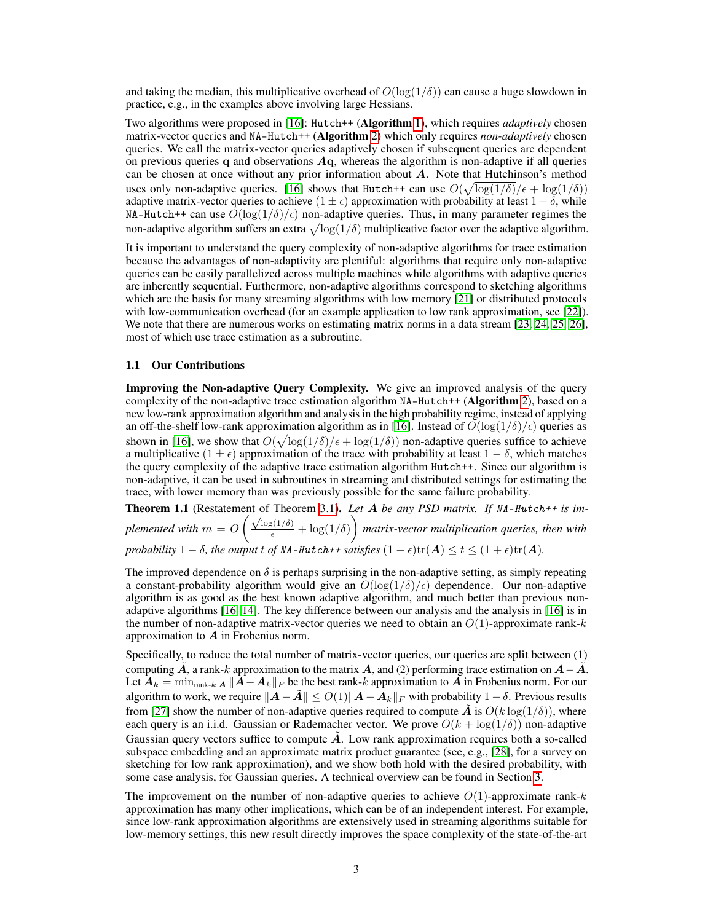and taking the median, this multiplicative overhead of  $O(\log(1/\delta))$  can cause a huge slowdown in practice, e.g., in the examples above involving large Hessians.

Two algorithms were proposed in [\[16\]](#page-10-15): Hutch++ (Algorithm [1\)](#page-1-0), which requires *adaptively* chosen matrix-vector queries and NA-Hutch++ (Algorithm [2\)](#page-1-1) which only requires *non-adaptively* chosen queries. We call the matrix-vector queries adaptively chosen if subsequent queries are dependent on previous queries q and observations  $A<sub>q</sub>$ , whereas the algorithm is non-adaptive if all queries can be chosen at once without any prior information about  $A$ . Note that Hutchinson's method uses only non-adaptive queries. [\[16\]](#page-10-15) shows that Hutch++ can use  $O(\sqrt{\log(1/\delta)}/\epsilon + \log(1/\delta))$ adaptive matrix-vector queries to achieve (1  $\pm \epsilon$ ) approximation with probability at least 1 –  $\delta$ , while NA-Hutch++ can use  $O(\log(1/\delta)/\epsilon)$  non-adaptive queries. Thus, in many parameter regimes the non-adaptive algorithm suffers an extra  $\sqrt{\log(1/\delta)}$  multiplicative factor over the adaptive algorithm.

It is important to understand the query complexity of non-adaptive algorithms for trace estimation because the advantages of non-adaptivity are plentiful: algorithms that require only non-adaptive queries can be easily parallelized across multiple machines while algorithms with adaptive queries are inherently sequential. Furthermore, non-adaptive algorithms correspond to sketching algorithms which are the basis for many streaming algorithms with low memory [\[21\]](#page-11-4) or distributed protocols with low-communication overhead (for an example application to low rank approximation, see [\[22\]](#page-11-5)). We note that there are numerous works on estimating matrix norms in a data stream [\[23,](#page-11-6) [24,](#page-11-7) [25,](#page-11-8) [26\]](#page-11-9), most of which use trace estimation as a subroutine.

#### 1.1 Our Contributions

Improving the Non-adaptive Query Complexity. We give an improved analysis of the query complexity of the non-adaptive trace estimation algorithm NA-Hutch++ (Algorithm [2\)](#page-1-1), based on a new low-rank approximation algorithm and analysis in the high probability regime, instead of applying an off-the-shelf low-rank approximation algorithm as in [\[16\]](#page-10-15). Instead of  $O(\log(1/\delta)/\epsilon)$  queries as shown in [\[16\]](#page-10-15), we show that  $O(\sqrt{\log(1/\delta)}/\epsilon + \log(1/\delta))$  non-adaptive queries suffice to achieve a multiplicative  $(1 \pm \epsilon)$  approximation of the trace with probability at least  $1 - \delta$ , which matches the query complexity of the adaptive trace estimation algorithm Hutch++. Since our algorithm is non-adaptive, it can be used in subroutines in streaming and distributed settings for estimating the trace, with lower memory than was previously possible for the same failure probability.

Theorem 1.1 (Restatement of Theorem [3.1\)](#page-4-0). *Let* A *be any PSD matrix. If* NA-Hutch++ *is implemented with*  $m = O\left(\frac{\sqrt{\log(1/\delta)}}{\epsilon} + \log(1/\delta)\right)$  *matrix-vector multiplication queries, then with probability*  $1 - \delta$ *, the output t of NA-Hutch++ satisfies*  $(1 - \epsilon)\text{tr}(\boldsymbol{A}) \le t \le (1 + \epsilon)\text{tr}(\boldsymbol{A})$ *.* 

The improved dependence on  $\delta$  is perhaps surprising in the non-adaptive setting, as simply repeating a constant-probability algorithm would give an  $O(\log(1/\delta)/\epsilon)$  dependence. Our non-adaptive algorithm is as good as the best known adaptive algorithm, and much better than previous nonadaptive algorithms [\[16,](#page-10-15) [14\]](#page-10-13). The key difference between our analysis and the analysis in [\[16\]](#page-10-15) is in the number of non-adaptive matrix-vector queries we need to obtain an  $O(1)$ -approximate rank-k approximation to  $\boldsymbol{A}$  in Frobenius norm.

Specifically, to reduce the total number of matrix-vector queries, our queries are split between (1) computing A, a rank-k approximation to the matrix A, and (2) performing trace estimation on  $A-\tilde{A}$ . Let  $A_k = \min_{\text{rank-}k \mid A} ||A - A_k||_F$  be the best rank-k approximation to  $A$  in Frobenius norm. For our algorithm to work, we require  $||A - A|| \le O(1)||A - A_k||_F$  with probability  $1 - \delta$ . Previous results from [\[27\]](#page-11-10) show the number of non-adaptive queries required to compute  $\tilde{A}$  is  $O(k \log(1/\delta))$ , where each query is an i.i.d. Gaussian or Rademacher vector. We prove  $O(k + \log(1/\delta))$  non-adaptive Gaussian query vectors suffice to compute  $\tilde{A}$ . Low rank approximation requires both a so-called subspace embedding and an approximate matrix product guarantee (see, e.g., [\[28\]](#page-11-11), for a survey on sketching for low rank approximation), and we show both hold with the desired probability, with some case analysis, for Gaussian queries. A technical overview can be found in Section [3.](#page-4-1)

The improvement on the number of non-adaptive queries to achieve  $O(1)$ -approximate rank-k approximation has many other implications, which can be of an independent interest. For example, since low-rank approximation algorithms are extensively used in streaming algorithms suitable for low-memory settings, this new result directly improves the space complexity of the state-of-the-art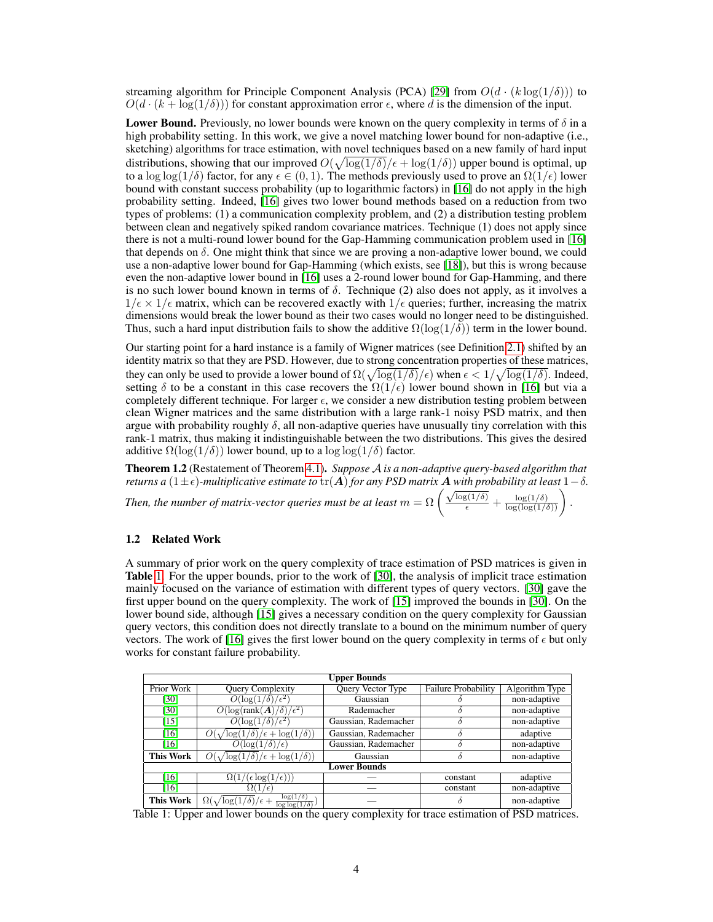streaming algorithm for Principle Component Analysis (PCA) [\[29\]](#page-11-12) from  $O(d \cdot (k \log(1/\delta)))$  to  $O(d \cdot (k + \log(1/\delta)))$  for constant approximation error  $\epsilon$ , where d is the dimension of the input.

**Lower Bound.** Previously, no lower bounds were known on the query complexity in terms of  $\delta$  in a high probability setting. In this work, we give a novel matching lower bound for non-adaptive (i.e., sketching) algorithms for trace estimation, with novel techniques based on a new family of hard input distributions, showing that our improved  $O(\sqrt{\log(1/\delta)}/\epsilon + \log(1/\delta))$  upper bound is optimal, up to a log log(1/δ) factor, for any  $\epsilon \in (0, 1)$ . The methods previously used to prove an  $\Omega(1/\epsilon)$  lower bound with constant success probability (up to logarithmic factors) in [\[16\]](#page-10-15) do not apply in the high probability setting. Indeed, [\[16\]](#page-10-15) gives two lower bound methods based on a reduction from two types of problems: (1) a communication complexity problem, and (2) a distribution testing problem between clean and negatively spiked random covariance matrices. Technique (1) does not apply since there is not a multi-round lower bound for the Gap-Hamming communication problem used in [\[16\]](#page-10-15) that depends on  $\delta$ . One might think that since we are proving a non-adaptive lower bound, we could use a non-adaptive lower bound for Gap-Hamming (which exists, see [\[18\]](#page-11-1)), but this is wrong because even the non-adaptive lower bound in [\[16\]](#page-10-15) uses a 2-round lower bound for Gap-Hamming, and there is no such lower bound known in terms of  $\delta$ . Technique (2) also does not apply, as it involves a  $1/\epsilon \times 1/\epsilon$  matrix, which can be recovered exactly with  $1/\epsilon$  queries; further, increasing the matrix dimensions would break the lower bound as their two cases would no longer need to be distinguished. Thus, such a hard input distribution fails to show the additive  $\Omega(\log(1/\delta))$  term in the lower bound.

Our starting point for a hard instance is a family of Wigner matrices (see Definition [2.1\)](#page-4-2) shifted by an identity matrix so that they are PSD. However, due to strong concentration properties of these matrices, they can only be used to provide a lower bound of  $\Omega(\sqrt{\log(1/\delta)}/\epsilon)$  when  $\epsilon < 1/\sqrt{\log(1/\delta)}$ . Indeed, setting  $\delta$  to be a constant in this case recovers the  $\Omega(1/\epsilon)$  lower bound shown in [\[16\]](#page-10-15) but via a completely different technique. For larger  $\epsilon$ , we consider a new distribution testing problem between clean Wigner matrices and the same distribution with a large rank-1 noisy PSD matrix, and then argue with probability roughly  $\delta$ , all non-adaptive queries have unusually tiny correlation with this rank-1 matrix, thus making it indistinguishable between the two distributions. This gives the desired additive  $\Omega(\log(1/\delta))$  lower bound, up to a  $\log \log(1/\delta)$  factor.

Theorem 1.2 (Restatement of Theorem [4.1\)](#page-5-0). *Suppose* A *is a non-adaptive query-based algorithm that returns a* (1 $\pm \epsilon$ )*-multiplicative estimate to* tr(A) *for any PSD matrix* A *with probability at least* 1 –  $\delta$ *.* 

*Then, the number of matrix-vector queries must be at least*  $m = \Omega \left( \frac{\sqrt{\log(1/\delta)}}{\epsilon} + \frac{\log(1/\delta)}{\log(\log(1/\delta))} \right)$ .

# 1.2 Related Work

A summary of prior work on the query complexity of trace estimation of PSD matrices is given in Table [1.](#page-3-0) For the upper bounds, prior to the work of [\[30\]](#page-11-13), the analysis of implicit trace estimation mainly focused on the variance of estimation with different types of query vectors. [\[30\]](#page-11-13) gave the first upper bound on the query complexity. The work of [\[15\]](#page-10-14) improved the bounds in [\[30\]](#page-11-13). On the lower bound side, although [\[15\]](#page-10-14) gives a necessary condition on the query complexity for Gaussian query vectors, this condition does not directly translate to a bound on the minimum number of query vectors. The work of [\[16\]](#page-10-15) gives the first lower bound on the query complexity in terms of  $\epsilon$  but only works for constant failure probability.

<span id="page-3-0"></span>

| <b>Upper Bounds</b> |                                                                                        |                      |                            |                |
|---------------------|----------------------------------------------------------------------------------------|----------------------|----------------------------|----------------|
| Prior Work          | Query Complexity                                                                       | Query Vector Type    | <b>Failure Probability</b> | Algorithm Type |
| [30]                | $O(\log(1/\delta)/\epsilon^2)$                                                         | Gaussian             |                            | non-adaptive   |
| [30]                | $O(\log(\text{rank}(\bm{A})/\delta)/\epsilon^2)$                                       | Rademacher           |                            | non-adaptive   |
| $[15]$              | $O(\log(1/\delta)/\epsilon^2)$                                                         | Gaussian, Rademacher |                            | non-adaptive   |
| [16]                | $\log(1/\delta)/\epsilon + \log(1/\delta))$                                            | Gaussian, Rademacher | δ                          | adaptive       |
| [16]                | $O(\log(1/\delta)/\epsilon)$                                                           | Gaussian, Rademacher |                            | non-adaptive   |
| This Work           | $O(\sqrt{\log(1/\delta)/\epsilon + \log(1/\delta)})$                                   | Gaussian             |                            | non-adaptive   |
| <b>Lower Bounds</b> |                                                                                        |                      |                            |                |
| [16]                | $\Omega(1/(\epsilon \log(1/\epsilon)))$                                                |                      | constant                   | adaptive       |
| [16]                | $\Omega(1/\epsilon)$                                                                   |                      | constant                   | non-adaptive   |
| This Work           | $\log(1/\delta)$<br>$\Omega(\sqrt{\log(1/\delta)}/\epsilon +$<br>$\log \log(1/\delta)$ |                      | δ                          | non-adaptive   |

Table 1: Upper and lower bounds on the query complexity for trace estimation of PSD matrices.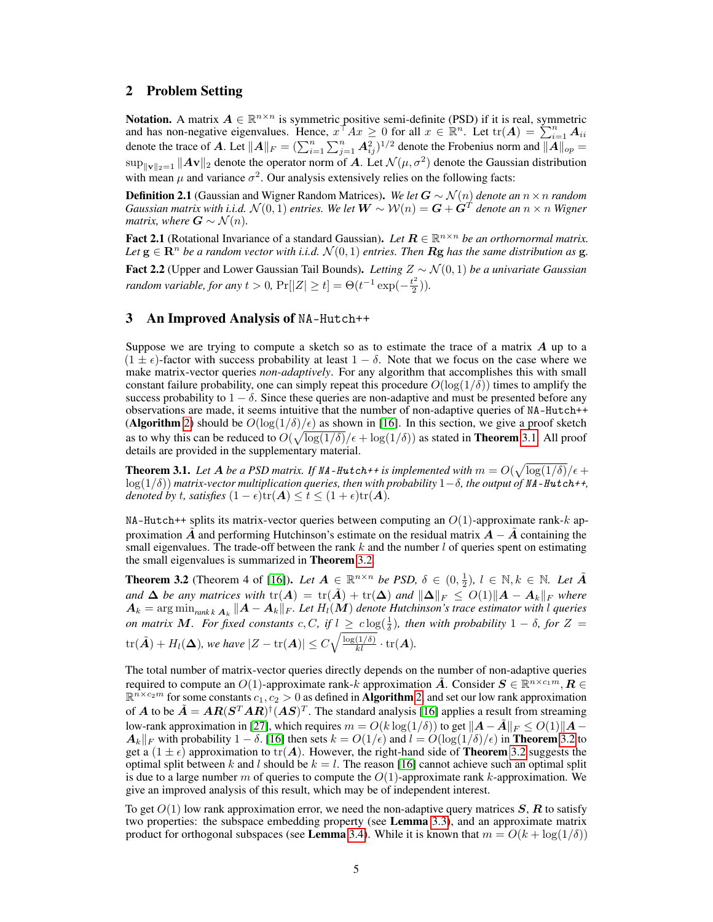# 2 Problem Setting

**Notation.** A matrix  $A \in \mathbb{R}^{n \times n}$  is symmetric positive semi-definite (PSD) if it is real, symmetric and has non-negative eigenvalues. Hence,  $x^{\dagger}Ax \geq 0$  for all  $x \in \mathbb{R}^n$ . Let  $tr(A) = \sum_{i=1}^n A_{ii}$ denote the trace of A. Let  $||A||_F = (\sum_{i=1}^n \sum_{j=1}^n A_{ij}^2)^{1/2}$  denote the Frobenius norm and  $||A||_{op}$  $\sup_{\|\mathbf{v}\|_2=1} \|\mathbf{A}\mathbf{v}\|_2$  denote the operator norm of A. Let  $\mathcal{N}(\mu, \sigma^2)$  denote the Gaussian distribution with mean  $\mu$  and variance  $\sigma^2$ . Our analysis extensively relies on the following facts:

<span id="page-4-2"></span>Definition 2.1 (Gaussian and Wigner Random Matrices). *We let* G ∼ N (n) *denote an* n×n *random*  $Gaussian$  matrix with i.i.d.  $\mathcal{N}(0,1)$  entries. We let  $\bm{W} \sim \mathcal{W}(n) = \bm{G} + \dot{\bm{G}}^T$  denote an  $n \times n$  Wigner *matrix, where*  $G \sim \mathcal{N}(n)$ .

<span id="page-4-4"></span>Fact 2.1 (Rotational Invariance of a standard Gaussian). *Let*  $R \in \mathbb{R}^{n \times n}$  *be an orthornormal matrix. Let*  $g \in \mathbb{R}^n$  *be a random vector with i.i.d.*  $\mathcal{N}(0, 1)$  *entries. Then* **Rg** *has the same distribution as* **g**.

<span id="page-4-5"></span>Fact 2.2 (Upper and Lower Gaussian Tail Bounds). *Letting* Z ∼ N (0, 1) *be a univariate Gaussian random variable, for any*  $t > 0$ ,  $Pr[|Z| \ge t] = \Theta(t^{-1} \exp(-\frac{t^2}{2}))$  $(\frac{2}{2})$ ).

## <span id="page-4-1"></span>3 An Improved Analysis of NA-Hutch++

Suppose we are trying to compute a sketch so as to estimate the trace of a matrix  $\vec{A}$  up to a  $(1 \pm \epsilon)$ -factor with success probability at least  $1 - \delta$ . Note that we focus on the case where we make matrix-vector queries *non-adaptively*. For any algorithm that accomplishes this with small constant failure probability, one can simply repeat this procedure  $O(\log(1/\delta))$  times to amplify the success probability to  $1 - \delta$ . Since these queries are non-adaptive and must be presented before any observations are made, it seems intuitive that the number of non-adaptive queries of NA-Hutch++ (Algorithm [2\)](#page-1-1) should be  $O(\log(1/\delta)/\epsilon)$  as shown in [\[16\]](#page-10-15). In this section, we give a proof sketch as to why this can be reduced to  $O(\sqrt{\log(1/\delta)}/\epsilon + \log(1/\delta))$  as stated in **Theorem** [3.1.](#page-4-0) All proof details are provided in the supplementary material.

<span id="page-4-0"></span>**Theorem 3.1.** Let A be a PSD matrix. If NA-Hutch++ is implemented with  $m = O(\sqrt{\log(1/\delta)}/\epsilon +$  $log(1/\delta)$ ) *matrix-vector multiplication queries, then with probability*  $1-\delta$ *, the output of* NA-Hutch++*, denoted by t, satisfies*  $(1 - \epsilon)\text{tr}(\mathbf{A}) \le t \le (1 + \epsilon)\text{tr}(\mathbf{A})$ *.* 

NA-Hutch++ splits its matrix-vector queries between computing an  $O(1)$ -approximate rank-k approximation A and performing Hutchinson's estimate on the residual matrix  $A - A$  containing the small eigenvalues. The trade-off between the rank  $k$  and the number  $l$  of queries spent on estimating the small eigenvalues is summarized in Theorem [3.2.](#page-4-3)

<span id="page-4-3"></span>**Theorem 3.2** (Theorem 4 of [\[16\]](#page-10-15)). *Let*  $A \in \mathbb{R}^{n \times n}$  *be PSD,*  $\delta \in (0, \frac{1}{2})$ ,  $l \in \mathbb{N}$ ,  $k \in \mathbb{N}$ . *Let*  $\tilde{A}$ *and*  $\Delta$  *be any matrices with*  $tr(A) = tr(\tilde{A}) + tr(\Delta)$  *and*  $\|\Delta\|_F \leq O(1)\|A - A_k\|_F$  where  $\bm{A}_k = \arg \min_{rank \, k} \bm{A}_k \, \|\bm{A} - \bm{A}_k\|_F.$  Let  $H_l(\bm{M})$  denote Hutchinson's trace estimator with  $l$  queries *on matrix* M. For fixed constants  $c, C$ , if  $l \geq c \log(\frac{1}{\delta})$ , then with probability  $1 - \delta$ , for  $Z =$  $\mathrm{tr}(\tilde{\bm{A}}) + H_l(\bm{\Delta}),$  we have  $|Z - \mathrm{tr}(\bm{A})| \leq C \sqrt{\frac{\log(1/\delta)}{kl}} \cdot \mathrm{tr}(\bm{A}).$ 

The total number of matrix-vector queries directly depends on the number of non-adaptive queries required to compute an  $O(1)$ -approximate rank-k approximation  $\tilde{A}$ . Consider  $S \in \mathbb{R}^{n \times c_1 m}$ ,  $R \in$  $\mathbb{R}^{n \times c_2 m}$  for some constants  $c_1, c_2 > 0$  as defined in **Algorithm** [2,](#page-1-1) and set our low rank approximation of A to be  $\tilde{A} = AR(S^T AR)^{\dagger} (AS)^T$ . The standard analysis [\[16\]](#page-10-15) applies a result from streaming low-rank approximation in [\[27\]](#page-11-10), which requires  $m = O(k \log(1/\delta))$  to get  $||\mathbf{A} - \mathbf{A}||_F \leq O(1)||\mathbf{A} A_k||_F$  with probability  $1 - \delta$ . [\[16\]](#page-10-15) then sets  $k = O(1/\epsilon)$  and  $l = O(\log(1/\delta)/\epsilon)$  in **Theorem** [3.2](#page-4-3) to get a  $(1 \pm \epsilon)$  approximation to tr(A). However, the right-hand side of **Theorem** [3.2](#page-4-3) suggests the optimal split between k and l should be  $k = l$ . The reason [\[16\]](#page-10-15) cannot achieve such an optimal split is due to a large number m of queries to compute the  $O(1)$ -approximate rank k-approximation. We give an improved analysis of this result, which may be of independent interest.

To get  $O(1)$  low rank approximation error, we need the non-adaptive query matrices  $S, R$  to satisfy two properties: the subspace embedding property (see Lemma [3.3\)](#page-5-1), and an approximate matrix product for orthogonal subspaces (see Lemma [3.4\)](#page-5-2). While it is known that  $m = O(k + \log(1/\delta))$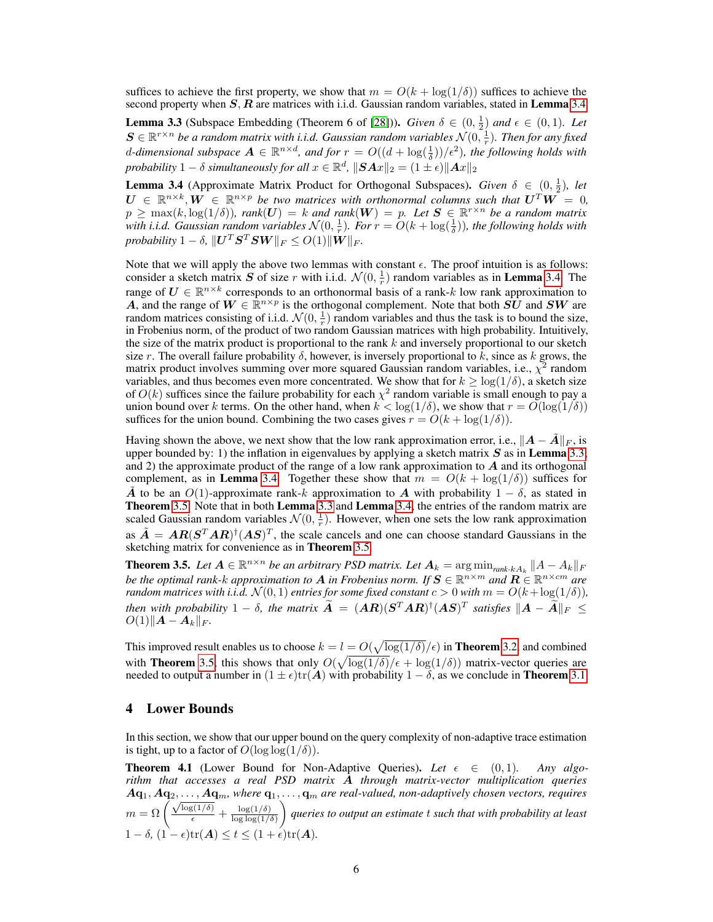suffices to achieve the first property, we show that  $m = O(k + \log(1/\delta))$  suffices to achieve the second property when  $S, R$  are matrices with i.i.d. Gaussian random variables, stated in **Lemma** [3.4.](#page-5-2)

<span id="page-5-1"></span>**Lemma 3.3** (Subspace Embedding (Theorem 6 of [\[28\]](#page-11-11))). *Given*  $\delta \in (0, \frac{1}{2})$  *and*  $\epsilon \in (0, 1)$ *. Let*  $\bm{S} \in \mathbb{R}^{r \times n}$  be a random matrix with i.i.d. Gaussian random variables  $\mathcal{N}(0, \frac{1}{r})$ . Then for any fixed d-dimensional subspace  $A \in \mathbb{R}^{n \times d}$ , and for  $r = O((d + \log(\frac{1}{\delta}))/\epsilon^2)$ , the following holds with probability  $1 - \delta$  simultaneously for all  $x \in \mathbb{R}^d$ ,  $\|\boldsymbol{S} \boldsymbol{A} x\|_2 = (1 \pm \epsilon) \|\boldsymbol{A} x\|_2$ 

<span id="page-5-2"></span>**Lemma 3.4** (Approximate Matrix Product for Orthogonal Subspaces). *Given*  $\delta \in (0, \frac{1}{2})$ , let  $U \in \mathbb{R}^{n \times k}, W \in \mathbb{R}^{n \times p}$  be two matrices with orthonormal columns such that  $U^T W = 0$ ,  $p \ge \max(k, \log(1/\delta))$ ,  $rank(\boldsymbol{U}) = k$  and  $rank(\boldsymbol{W}) = p$ . Let  $\boldsymbol{S} \in \mathbb{R}^{r \times n}$  be a random matrix with i.i.d. Gaussian random variables  $\mathcal{N}(0, \frac{1}{r})$ . For  $r = O(k + \log(\frac{1}{\delta}))$ , the following holds with  $\textit{probability}\ 1-\delta,\,\|\boldsymbol{U}^T\boldsymbol{S}^T\boldsymbol{S}\boldsymbol{W}\|_F\leq O(1)\|\boldsymbol{W}\|_F.$ 

Note that we will apply the above two lemmas with constant  $\epsilon$ . The proof intuition is as follows: consider a sketch matrix S of size r with i.i.d.  $\mathcal{N}(0, \frac{1}{r})$  random variables as in **Lemma** [3.4.](#page-5-2) The range of  $U \in \mathbb{R}^{n \times k}$  corresponds to an orthonormal basis of a rank-k low rank approximation to A, and the range of  $W \in \mathbb{R}^{n \times p}$  is the orthogonal complement. Note that both  $\overrightarrow{SU}$  and  $SW$  are random matrices consisting of i.i.d.  $\mathcal{N}(0, \frac{1}{r})$  random variables and thus the task is to bound the size, in Frobenius norm, of the product of two random Gaussian matrices with high probability. Intuitively, the size of the matrix product is proportional to the rank  $k$  and inversely proportional to our sketch size r. The overall failure probability  $\delta$ , however, is inversely proportional to k, since as k grows, the matrix product involves summing over more squared Gaussian random variables, i.e.,  $\chi^2$  random variables, and thus becomes even more concentrated. We show that for  $k \geq \log(1/\delta)$ , a sketch size of  $O(k)$  suffices since the failure probability for each  $\chi^2$  random variable is small enough to pay a union bound over k terms. On the other hand, when  $k < log(1/\delta)$ , we show that  $r = O(log(1/\delta))$ suffices for the union bound. Combining the two cases gives  $r = O(k + \log(1/\delta))$ .

Having shown the above, we next show that the low rank approximation error, i.e.,  $||A - \tilde{A}||_F$ , is upper bounded by: 1) the inflation in eigenvalues by applying a sketch matrix  $S$  as in Lemma [3.3;](#page-5-1) and 2) the approximate product of the range of a low rank approximation to  $\vec{A}$  and its orthogonal complement, as in Lemma [3.4.](#page-5-2) Together these show that  $m = O(k + \log(1/\delta))$  suffices for  $\tilde{A}$  to be an  $O(1)$ -approximate rank-k approximation to  $A$  with probability  $1 - \delta$ , as stated in Theorem [3.5.](#page-5-3) Note that in both Lemma [3.3](#page-5-1) and Lemma [3.4,](#page-5-2) the entries of the random matrix are scaled Gaussian random variables  $\mathcal{N}(0, \frac{1}{r})$ . However, when one sets the low rank approximation as  $\tilde{A} = AR(S^{T}AR)^{\dagger}(AS)^{T}$ , the scale cancels and one can choose standard Gaussians in the sketching matrix for convenience as in **Theorem** [3.5.](#page-5-3)

<span id="page-5-3"></span>**Theorem 3.5.** Let  $A \in \mathbb{R}^{n \times n}$  be an arbitrary PSD matrix. Let  $A_k = \arg \min_{rank \cdot k A_k} ||A - A_k||_F$ *be the optimal rank-k approximation to*  $A$  *in Frobenius norm. If*  $S \in \mathbb{R}^{n \times m}$  *and*  $\mathbf{R} \in \mathbb{R}^{n \times cm}$  *are random matrices with i.i.d.*  $\mathcal{N}(0, 1)$  *entries for some fixed constant*  $c > 0$  *with*  $m = O(k + \log(1/\delta))$ *, then with probability*  $1 - \delta$ , the matrix  $\widetilde{A} = (AR)(S^TAR)^{\dagger}(AS)^T$  satisfies  $\|A - \widetilde{A}\|_F \le$  $O(1)$ k $A - A_k$ <sub>F</sub>.

This improved result enables us to choose  $k = l = O(\sqrt{\log(1/\delta)}/\epsilon)$  in **Theorem** [3.2,](#page-4-3) and combined with **Theorem** [3.5,](#page-5-3) this shows that only  $O(\sqrt{\log(1/\delta)}/\epsilon + \log(1/\delta))$  matrix-vector queries are needed to output a number in  $(1 \pm \epsilon)$ tr $(A)$  with probability  $1 - \delta$ , as we conclude in **Theorem** [3.1.](#page-4-0)

# <span id="page-5-4"></span>4 Lower Bounds

In this section, we show that our upper bound on the query complexity of non-adaptive trace estimation is tight, up to a factor of  $O(\log \log(1/\delta))$ .

<span id="page-5-0"></span>**Theorem 4.1** (Lower Bound for Non-Adaptive Queries). Let  $\epsilon \in (0,1)$ . Any algo*rithm that accesses a real PSD matrix* A *through matrix-vector multiplication queries*  $A{\bf q}_1, A{\bf q}_2, \ldots, A{\bf q}_m$ , where  ${\bf q}_1, \ldots, {\bf q}_m$  are real-valued, non-adaptively chosen vectors, requires<br>  $m = \Omega\left(\frac{\sqrt{\log(1/\delta)}}{\epsilon} + \frac{\log(1/\delta)}{\log\log(1/\delta)}\right)$  queries to output an estimate t such that with probability at leas  $\log \log(1/\delta)$  *queries to output an estimate* t *such that with probability at least*  $1 - \delta$ ,  $(1 - \epsilon)\text{tr}(\mathbf{A}) \le t \le (1 + \epsilon)\text{tr}(\mathbf{A})$ .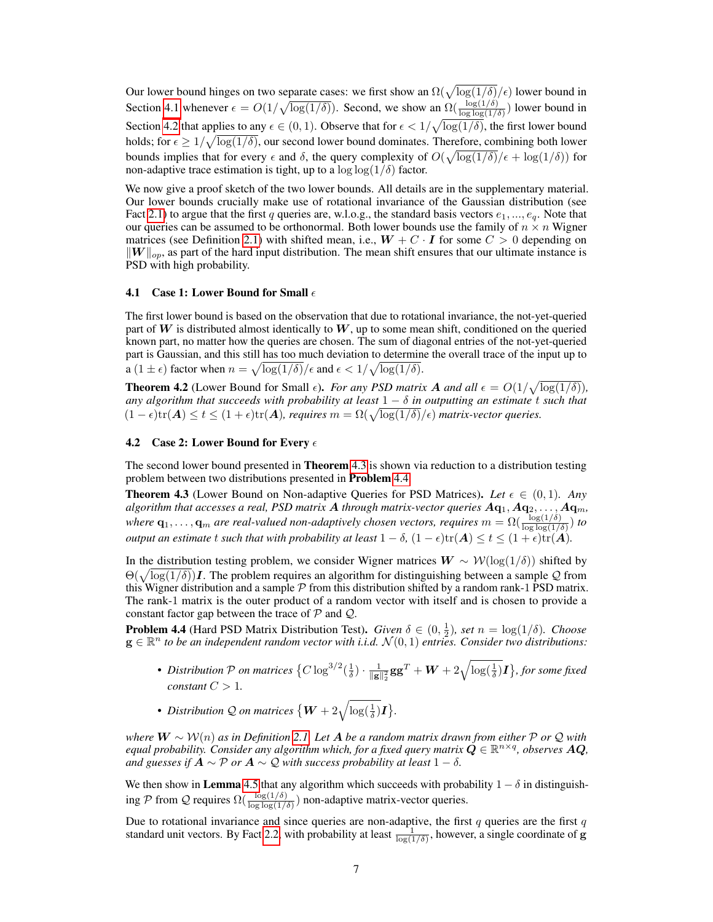Our lower bound hinges on two separate cases: we first show an  $\Omega(\sqrt{\log(1/\delta)}/\epsilon)$  lower bound in Section [4.1](#page-6-0) whenever  $\epsilon = O(1/\sqrt{\log(1/\delta)})$ . Second, we show an  $\Omega(\frac{\log(1/\delta)}{\log \log(1/\delta)})$  lower bound in Section [4.2](#page-6-1) that applies to any  $\epsilon \in (0,1)$ . Observe that for  $\epsilon < 1/\sqrt{\log(1/\delta)}$ , the first lower bound holds; for  $\epsilon \geq 1/\sqrt{\log(1/\delta)}$ , our second lower bound dominates. Therefore, combining both lower bounds implies that for every  $\epsilon$  and  $\delta$ , the query complexity of  $O(\sqrt{\log(1/\delta)}/\epsilon + \log(1/\delta))$  for non-adaptive trace estimation is tight, up to a  $\log \log(1/\delta)$  factor.

We now give a proof sketch of the two lower bounds. All details are in the supplementary material. Our lower bounds crucially make use of rotational invariance of the Gaussian distribution (see Fact [2.1\)](#page-4-4) to argue that the first q queries are, w.l.o.g., the standard basis vectors  $e_1, ..., e_q$ . Note that our queries can be assumed to be orthonormal. Both lower bounds use the family of  $n \times n$  Wigner matrices (see Definition [2.1\)](#page-4-2) with shifted mean, i.e.,  $W + C \cdot I$  for some  $C > 0$  depending on  $\|W\|_{op}$ , as part of the hard input distribution. The mean shift ensures that our ultimate instance is PSD with high probability.

#### <span id="page-6-0"></span>**4.1** Case 1: Lower Bound for Small  $\epsilon$

The first lower bound is based on the observation that due to rotational invariance, the not-yet-queried part of  $W$  is distributed almost identically to  $W$ , up to some mean shift, conditioned on the queried known part, no matter how the queries are chosen. The sum of diagonal entries of the not-yet-queried part is Gaussian, and this still has too much deviation to determine the overall trace of the input up to a  $(1 \pm \epsilon)$  factor when  $n = \sqrt{\log(1/\delta)}/\epsilon$  and  $\epsilon < 1/\sqrt{\log(1/\delta)}$ .

**Theorem 4.2** (Lower Bound for Small  $\epsilon$ ). *For any PSD matrix A and all*  $\epsilon = O(1/\sqrt{\log(1/\delta)})$ *, any algorithm that succeeds with probability at least* 1 − δ *in outputting an estimate* t *such that*  $(1 - \epsilon)\text{tr}(\mathbf{A}) \le t \le (1 + \epsilon)\text{tr}(\mathbf{A})$ , requires  $m = \Omega(\sqrt{\log(1/\delta)}/\epsilon)$  matrix-vector queries.

#### <span id="page-6-1"></span>4.2 Case 2: Lower Bound for Every  $\epsilon$

The second lower bound presented in **Theorem** [4.3](#page-6-2) is shown via reduction to a distribution testing problem between two distributions presented in Problem [4.4.](#page-6-3)

<span id="page-6-2"></span>**Theorem 4.3** (Lower Bound on Non-adaptive Queries for PSD Matrices). Let  $\epsilon \in (0,1)$ . Any algorithm that accesses a real, PSD matrix  $A$  through matrix-vector queries  $A{\bf q}_1, A{\bf q}_2, \ldots, A{\bf q}_m$ , *where*  $\mathbf{q}_1,\ldots,\mathbf{q}_m$  are real-valued non-adaptively chosen vectors, requires  $m=\Omega(\frac{\log(1/\delta)}{\log\log(1/\delta)})$  to *output an estimate* t *such that with probability at least*  $1 - \delta$ ,  $(1 - \epsilon) \text{tr}(\mathbf{A}) \le t \le (1 + \epsilon) \text{tr}(\mathbf{A})$ .

In the distribution testing problem, we consider Wigner matrices  $W \sim \mathcal{W}(\log(1/\delta))$  shifted by  $\Theta(\sqrt{\log(1/\delta)})I$ . The problem requires an algorithm for distinguishing between a sample Q from this Wigner distribution and a sample  $P$  from this distribution shifted by a random rank-1 PSD matrix. The rank-1 matrix is the outer product of a random vector with itself and is chosen to provide a constant factor gap between the trace of  $P$  and  $Q$ .

<span id="page-6-3"></span>**Problem 4.4** (Hard PSD Matrix Distribution Test). *Given*  $\delta \in (0, \frac{1}{2})$ , set  $n = \log(1/\delta)$ . *Choose*  $\mathbf{g} \in \mathbb{R}^n$  to be an independent random vector with i.i.d.  $\mathcal{N}(0,1)$  entries. Consider two distributions:

- Distribution  ${\cal P}$  on matrices  $\{C\log^{3/2}(\frac{1}{\delta})\cdot\frac{1}{\|{\bf g}\|_2^2}{\bf g}{\bf g}^T +{\bm W}+2\sqrt{\log(\frac{1}{\delta})}\bm I\},$  for some fixed *constant*  $C > 1$ *.*
- *Distribution Q on matrices*  $\{W + 2\sqrt{\log(\frac{1}{\delta})}I\}$ .

*where* W ∼ W(n) *as in Definition [2.1.](#page-4-2) Let* A *be a random matrix drawn from either* P *or* Q *with* equal probability. Consider any algorithm which, for a fixed query matrix  $\check{\bm{Q}} \in \mathbb{R}^{n \times q}$ , observes  $\bm{A}\bm{Q}$ , *and guesses if*  $A \sim P$  *or*  $A \sim Q$  *with success probability at least*  $1 - \delta$ *.* 

We then show in Lemma [4.5](#page-7-0) that any algorithm which succeeds with probability  $1 - \delta$  in distinguishing P from Q requires  $\Omega(\frac{\log(1/\delta)}{\log\log(1/\delta)})$  non-adaptive matrix-vector queries.

Due to rotational invariance and since queries are non-adaptive, the first  $q$  queries are the first  $q$ standard unit vectors. By Fact [2.2,](#page-4-5) with probability at least  $\frac{1}{\log(1/\delta)}$ , however, a single coordinate of g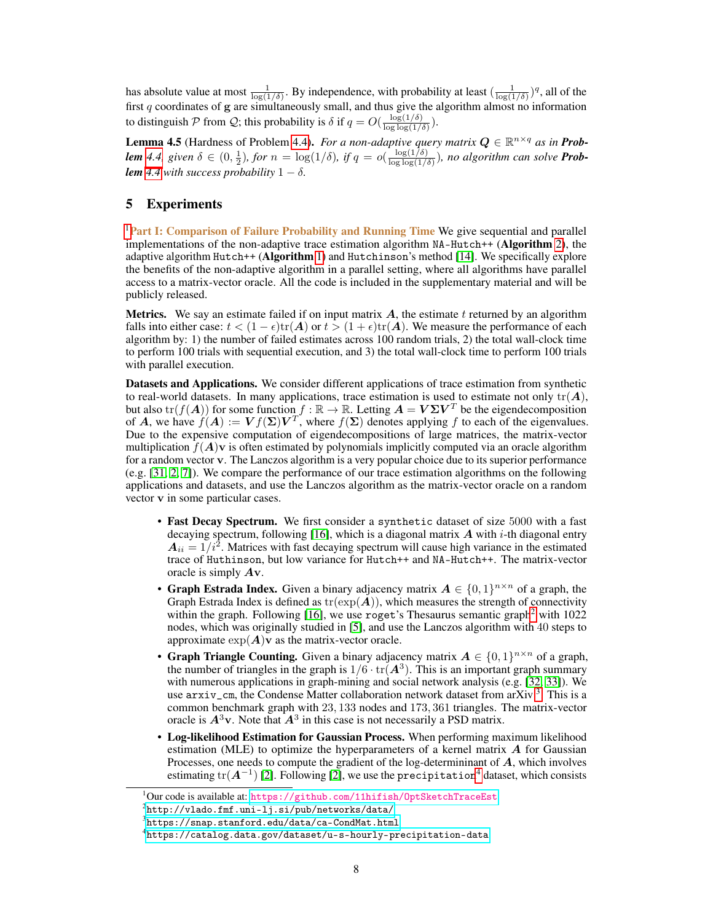has absolute value at most  $\frac{1}{\log(1/\delta)}$ . By independence, with probability at least  $(\frac{1}{\log(1/\delta)})^q$ , all of the first q coordinates of g are simultaneously small, and thus give the algorithm almost no information to distinguish P from Q; this probability is  $\delta$  if  $q = O(\frac{\log(1/\delta)}{\log \log(1/\delta)})$  $\frac{\log(1/\delta)}{\log\log(1/\delta)}\Big).$ 

<span id="page-7-0"></span>**Lemma 4.5** (Hardness of Problem [4.4\)](#page-6-3). *For a non-adaptive query matrix*  $Q \in \mathbb{R}^{n \times q}$  *as in Problem* [4.4,](#page-6-3) given  $\delta \in (0, \frac{1}{2})$ , for  $n = \log(1/\delta)$ , if  $q = o(\frac{\log(1/\delta)}{\log \log(1/\delta)})$  $\frac{\log(1/\delta)}{\log\log(1/\delta)}$ ), no algorithm can solve **Prob***lem* [4.4](#page-6-3) with success probability  $1 - \delta$ .

# <span id="page-7-1"></span>5 Experiments

<sup>[1](#page-0-0)</sup>Part I: Comparison of Failure Probability and Running Time We give sequential and parallel implementations of the non-adaptive trace estimation algorithm NA-Hutch++ (Algorithm [2\)](#page-1-1), the adaptive algorithm Hutch++ (Algorithm [1\)](#page-1-0) and Hutchinson's method  $[14]$ . We specifically explore the benefits of the non-adaptive algorithm in a parallel setting, where all algorithms have parallel access to a matrix-vector oracle. All the code is included in the supplementary material and will be publicly released.

**Metrics.** We say an estimate failed if on input matrix  $A$ , the estimate t returned by an algorithm falls into either case:  $t < (1 - \epsilon) \text{tr}(\mathbf{A})$  or  $t > (1 + \epsilon) \text{tr}(\mathbf{A})$ . We measure the performance of each algorithm by: 1) the number of failed estimates across 100 random trials, 2) the total wall-clock time to perform 100 trials with sequential execution, and 3) the total wall-clock time to perform 100 trials with parallel execution.

Datasets and Applications. We consider different applications of trace estimation from synthetic to real-world datasets. In many applications, trace estimation is used to estimate not only  $tr(A)$ , but also  $\text{tr}(f(A))$  for some function  $f : \mathbb{R} \to \mathbb{R}$ . Letting  $A = V\Sigma V^T$  be the eigendecomposition of A, we have  $f(A) := Vf(\Sigma)V^T$ , where  $f(\Sigma)$  denotes applying f to each of the eigenvalues. Due to the expensive computation of eigendecompositions of large matrices, the matrix-vector multiplication  $f(A)$ v is often estimated by polynomials implicitly computed via an oracle algorithm for a random vector v. The Lanczos algorithm is a very popular choice due to its superior performance (e.g. [\[31,](#page-11-14) [2,](#page-10-1) [7\]](#page-10-6)). We compare the performance of our trace estimation algorithms on the following applications and datasets, and use the Lanczos algorithm as the matrix-vector oracle on a random vector v in some particular cases.

- Fast Decay Spectrum. We first consider a synthetic dataset of size 5000 with a fast decaying spectrum, following [\[16\]](#page-10-15), which is a diagonal matrix  $\vec{A}$  with *i*-th diagonal entry  $A_{ii} = 1/i^2$ . Matrices with fast decaying spectrum will cause high variance in the estimated trace of Huthinson, but low variance for Hutch++ and NA-Hutch++. The matrix-vector oracle is simply Av.
- Graph Estrada Index. Given a binary adjacency matrix  $A \in \{0,1\}^{n \times n}$  of a graph, the Graph Estrada Index is defined as  $tr(exp(A))$ , which measures the strength of connectivity within the graph. Following  $[16]$ , we use roget's Thesaurus semantic graph<sup>[2](#page-0-0)</sup> with  $1022$ nodes, which was originally studied in [\[5\]](#page-10-4), and use the Lanczos algorithm with 40 steps to approximate  $\exp(A)v$  as the matrix-vector oracle.
- Graph Triangle Counting. Given a binary adjacency matrix  $A \in \{0,1\}^{n \times n}$  of a graph, the number of triangles in the graph is  $1/6 \cdot \text{tr}(\mathbf{A}^3)$ . This is an important graph summary with numerous applications in graph-mining and social network analysis (e.g. [\[32,](#page-11-15) [33\]](#page-11-16)). We use arxiv\_cm, the Condense Matter collaboration network dataset from arXiv<sup>[3](#page-0-0)</sup>. This is a common benchmark graph with 23, 133 nodes and 173, 361 triangles. The matrix-vector oracle is  $A^3v$ . Note that  $A^3$  in this case is not necessarily a PSD matrix.
- Log-likelihood Estimation for Gaussian Process. When performing maximum likelihood estimation (MLE) to optimize the hyperparameters of a kernel matrix  $A$  for Gaussian Processes, one needs to compute the gradient of the log-determininant of A, which involves estimating tr( $A^{-1}$ ) [\[2\]](#page-10-1). Following [2], we use the precipitation<sup>[4](#page-0-0)</sup> dataset, which consists

 $1$ Our code is available at: <https://github.com/11hifish/OptSketchTraceEst>

 $^2$ [http://vlado.fmf.uni-lj.si/pub/networks/data/](http://vlado.fmf.uni- lj.si/pub/networks/data/)

 $^3$ <https://snap.stanford.edu/data/ca-CondMat.html>

 $^4$ <https://catalog.data.gov/dataset/u-s-hourly-precipitation-data>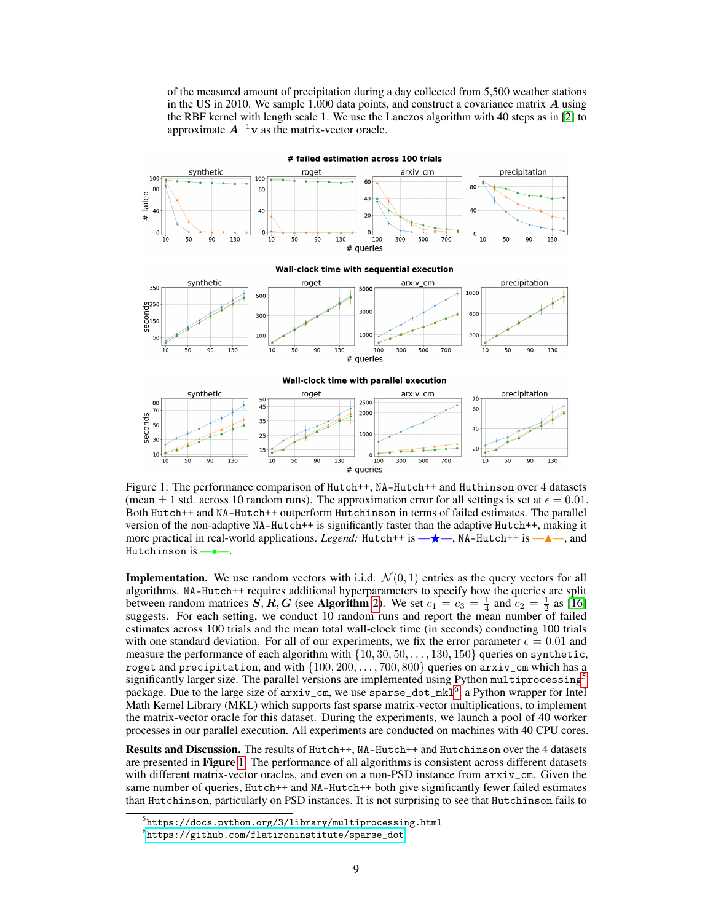of the measured amount of precipitation during a day collected from 5,500 weather stations in the US in 2010. We sample 1,000 data points, and construct a covariance matrix  $\boldsymbol{A}$  using the RBF kernel with length scale 1. We use the Lanczos algorithm with 40 steps as in [\[2\]](#page-10-1) to approximate  $A^{-1}$ v as the matrix-vector oracle.

<span id="page-8-0"></span>

# failed estimation across 100 trials

Figure 1: The performance comparison of Hutch++, NA-Hutch++ and Huthinson over 4 datasets (mean  $\pm$  1 std. across 10 random runs). The approximation error for all settings is set at  $\epsilon$  = 0.01. Both Hutch++ and NA-Hutch++ outperform Hutchinson in terms of failed estimates. The parallel version of the non-adaptive NA-Hutch++ is significantly faster than the adaptive Hutch++, making it more practical in real-world applications. *Legend:* Hutch++ is  $\rightarrow \leftarrow$ , NA-Hutch++ is  $\rightarrow \leftarrow$ , and Hutchinson is -

# queries

**Implementation.** We use random vectors with i.i.d.  $\mathcal{N}(0, 1)$  entries as the query vectors for all algorithms. NA-Hutch++ requires additional hyperparameters to specify how the queries are split between random matrices  $\vec{S}$ ,  $\vec{R}$ ,  $\vec{G}$  (see Algorithm [2\)](#page-1-1). We set  $c_1 = c_3 = \frac{1}{4}$  and  $c_2 = \frac{1}{2}$  as [\[16\]](#page-10-15) suggests. For each setting, we conduct 10 random runs and report the mean number of failed estimates across 100 trials and the mean total wall-clock time (in seconds) conducting 100 trials with one standard deviation. For all of our experiments, we fix the error parameter  $\epsilon = 0.01$  and measure the performance of each algorithm with  $\{10, 30, 50, \ldots, 130, 150\}$  queries on synthetic, roget and precipitation, and with  $\{100, 200, \ldots, 700, 800\}$  queries on arxiv\_cm which has a significantly larger size. The parallel versions are implemented using Python multiprocessing<sup>[5](#page-0-0)</sup> package. Due to the large size of  $arxiv\_cm$ , we use sparse\_dot\_mkl<sup>[6](#page-0-0)</sup>, a Python wrapper for Intel Math Kernel Library (MKL) which supports fast sparse matrix-vector multiplications, to implement the matrix-vector oracle for this dataset. During the experiments, we launch a pool of 40 worker processes in our parallel execution. All experiments are conducted on machines with 40 CPU cores.

Results and Discussion. The results of Hutch++, NA-Hutch++ and Hutchinson over the 4 datasets are presented in Figure [1.](#page-8-0) The performance of all algorithms is consistent across different datasets with different matrix-vector oracles, and even on a non-PSD instance from  $\arxi v$ <sub>c</sub>m. Given the same number of queries, Hutch++ and NA-Hutch++ both give significantly fewer failed estimates than Hutchinson, particularly on PSD instances. It is not surprising to see that Hutchinson fails to

 $^5$ https://docs.python.org/3/library/multiprocessing.html

 $^6$ [https://github.com/flatironinstitute/sparse\\_dot](https://github.com/flatironinstitute/sparse_dot)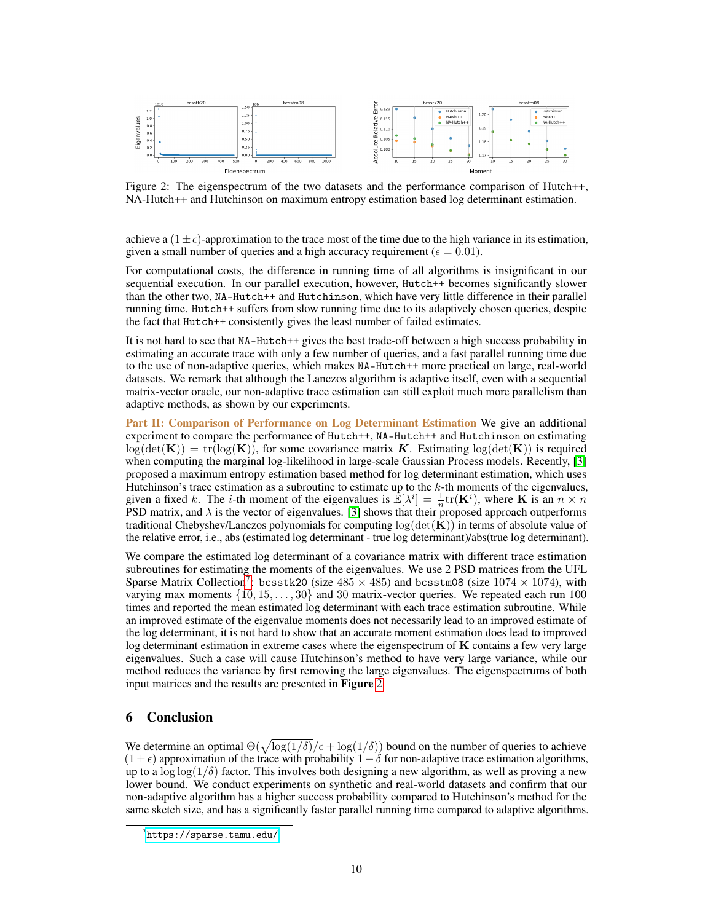<span id="page-9-0"></span>

Figure 2: The eigenspectrum of the two datasets and the performance comparison of Hutch++, NA-Hutch++ and Hutchinson on maximum entropy estimation based log determinant estimation.

achieve a  $(1 \pm \epsilon)$ -approximation to the trace most of the time due to the high variance in its estimation, given a small number of queries and a high accuracy requirement ( $\epsilon = 0.01$ ).

For computational costs, the difference in running time of all algorithms is insignificant in our sequential execution. In our parallel execution, however, Hutch++ becomes significantly slower than the other two, NA-Hutch++ and Hutchinson, which have very little difference in their parallel running time. Hutch++ suffers from slow running time due to its adaptively chosen queries, despite the fact that Hutch++ consistently gives the least number of failed estimates.

It is not hard to see that NA-Hutch++ gives the best trade-off between a high success probability in estimating an accurate trace with only a few number of queries, and a fast parallel running time due to the use of non-adaptive queries, which makes NA-Hutch++ more practical on large, real-world datasets. We remark that although the Lanczos algorithm is adaptive itself, even with a sequential matrix-vector oracle, our non-adaptive trace estimation can still exploit much more parallelism than adaptive methods, as shown by our experiments.

Part II: Comparison of Performance on Log Determinant Estimation We give an additional experiment to compare the performance of Hutch++, NA-Hutch++ and Hutchinson on estimating  $log(det(K)) = tr(log(K))$ , for some covariance matrix K. Estimating  $log(det(K))$  is required when computing the marginal log-likelihood in large-scale Gaussian Process models. Recently, [\[3\]](#page-10-2) proposed a maximum entropy estimation based method for log determinant estimation, which uses Hutchinson's trace estimation as a subroutine to estimate up to the  $k$ -th moments of the eigenvalues, given a fixed k. The *i*-th moment of the eigenvalues is  $\mathbb{E}[\lambda^i] = \frac{1}{n} \text{tr}(\mathbf{K}^i)$ , where **K** is an  $n \times n$ PSD matrix, and  $\lambda$  is the vector of eigenvalues. [\[3\]](#page-10-2) shows that their proposed approach outperforms traditional Chebyshev/Lanczos polynomials for computing  $log(det(K))$  in terms of absolute value of the relative error, i.e., abs (estimated log determinant - true log determinant)/abs(true log determinant).

We compare the estimated log determinant of a covariance matrix with different trace estimation subroutines for estimating the moments of the eigenvalues. We use 2 PSD matrices from the UFL Sparse Matrix Collection<sup>[7](#page-0-0)</sup>: bcsstk20 (size  $485 \times 485$ ) and bcsstm08 (size  $1074 \times 1074$ ), with varying max moments  $\{10, 15, \ldots, 30\}$  and 30 matrix-vector queries. We repeated each run 100 times and reported the mean estimated log determinant with each trace estimation subroutine. While an improved estimate of the eigenvalue moments does not necessarily lead to an improved estimate of the log determinant, it is not hard to show that an accurate moment estimation does lead to improved log determinant estimation in extreme cases where the eigenspectrum of  $K$  contains a few very large eigenvalues. Such a case will cause Hutchinson's method to have very large variance, while our method reduces the variance by first removing the large eigenvalues. The eigenspectrums of both input matrices and the results are presented in Figure [2.](#page-9-0)

# 6 Conclusion

We determine an optimal  $\Theta(\sqrt{\log(1/\delta)}/\epsilon + \log(1/\delta))$  bound on the number of queries to achieve  $(1 \pm \epsilon)$  approximation of the trace with probability  $1 - \delta$  for non-adaptive trace estimation algorithms, up to a  $\log \log(1/\delta)$  factor. This involves both designing a new algorithm, as well as proving a new lower bound. We conduct experiments on synthetic and real-world datasets and confirm that our non-adaptive algorithm has a higher success probability compared to Hutchinson's method for the same sketch size, and has a significantly faster parallel running time compared to adaptive algorithms.

 $^{7}$ <https://sparse.tamu.edu/>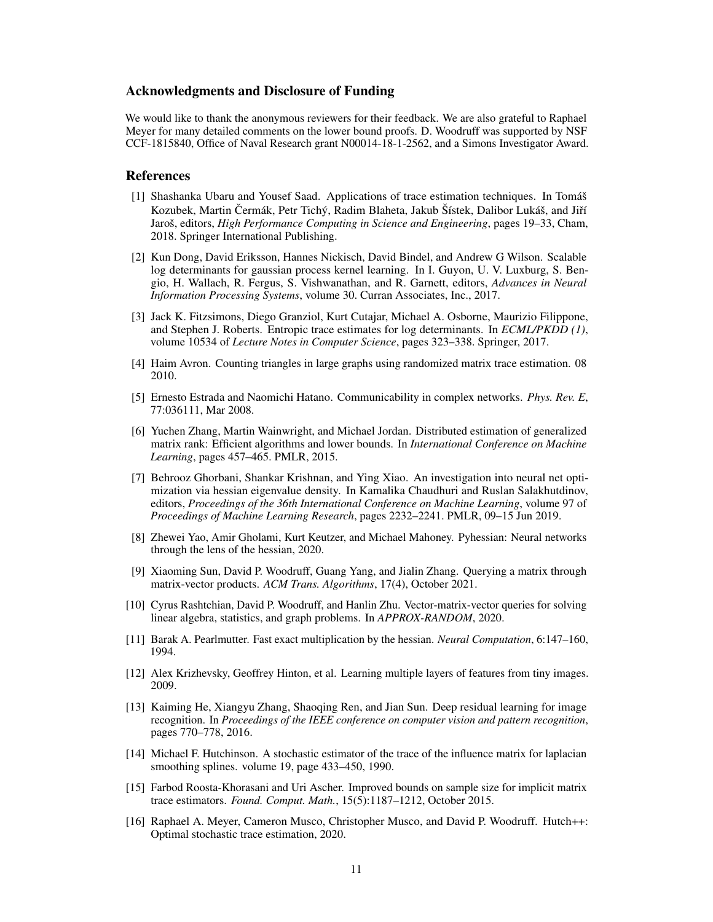## Acknowledgments and Disclosure of Funding

We would like to thank the anonymous reviewers for their feedback. We are also grateful to Raphael Meyer for many detailed comments on the lower bound proofs. D. Woodruff was supported by NSF CCF-1815840, Office of Naval Research grant N00014-18-1-2562, and a Simons Investigator Award.

## **References**

- <span id="page-10-0"></span>[1] Shashanka Ubaru and Yousef Saad. Applications of trace estimation techniques. In Tomáš Kozubek, Martin Čermák, Petr Tichý, Radim Blaheta, Jakub Šístek, Dalibor Lukáš, and Jiří Jaroš, editors, *High Performance Computing in Science and Engineering*, pages 19–33, Cham, 2018. Springer International Publishing.
- <span id="page-10-1"></span>[2] Kun Dong, David Eriksson, Hannes Nickisch, David Bindel, and Andrew G Wilson. Scalable log determinants for gaussian process kernel learning. In I. Guyon, U. V. Luxburg, S. Bengio, H. Wallach, R. Fergus, S. Vishwanathan, and R. Garnett, editors, *Advances in Neural Information Processing Systems*, volume 30. Curran Associates, Inc., 2017.
- <span id="page-10-2"></span>[3] Jack K. Fitzsimons, Diego Granziol, Kurt Cutajar, Michael A. Osborne, Maurizio Filippone, and Stephen J. Roberts. Entropic trace estimates for log determinants. In *ECML/PKDD (1)*, volume 10534 of *Lecture Notes in Computer Science*, pages 323–338. Springer, 2017.
- <span id="page-10-3"></span>[4] Haim Avron. Counting triangles in large graphs using randomized matrix trace estimation. 08 2010.
- <span id="page-10-4"></span>[5] Ernesto Estrada and Naomichi Hatano. Communicability in complex networks. *Phys. Rev. E*, 77:036111, Mar 2008.
- <span id="page-10-5"></span>[6] Yuchen Zhang, Martin Wainwright, and Michael Jordan. Distributed estimation of generalized matrix rank: Efficient algorithms and lower bounds. In *International Conference on Machine Learning*, pages 457–465. PMLR, 2015.
- <span id="page-10-6"></span>[7] Behrooz Ghorbani, Shankar Krishnan, and Ying Xiao. An investigation into neural net optimization via hessian eigenvalue density. In Kamalika Chaudhuri and Ruslan Salakhutdinov, editors, *Proceedings of the 36th International Conference on Machine Learning*, volume 97 of *Proceedings of Machine Learning Research*, pages 2232–2241. PMLR, 09–15 Jun 2019.
- <span id="page-10-7"></span>[8] Zhewei Yao, Amir Gholami, Kurt Keutzer, and Michael Mahoney. Pyhessian: Neural networks through the lens of the hessian, 2020.
- <span id="page-10-8"></span>[9] Xiaoming Sun, David P. Woodruff, Guang Yang, and Jialin Zhang. Querying a matrix through matrix-vector products. *ACM Trans. Algorithms*, 17(4), October 2021.
- <span id="page-10-9"></span>[10] Cyrus Rashtchian, David P. Woodruff, and Hanlin Zhu. Vector-matrix-vector queries for solving linear algebra, statistics, and graph problems. In *APPROX-RANDOM*, 2020.
- <span id="page-10-10"></span>[11] Barak A. Pearlmutter. Fast exact multiplication by the hessian. *Neural Computation*, 6:147–160, 1994.
- <span id="page-10-11"></span>[12] Alex Krizhevsky, Geoffrey Hinton, et al. Learning multiple layers of features from tiny images. 2009.
- <span id="page-10-12"></span>[13] Kaiming He, Xiangyu Zhang, Shaoqing Ren, and Jian Sun. Deep residual learning for image recognition. In *Proceedings of the IEEE conference on computer vision and pattern recognition*, pages 770–778, 2016.
- <span id="page-10-13"></span>[14] Michael F. Hutchinson. A stochastic estimator of the trace of the influence matrix for laplacian smoothing splines. volume 19, page 433–450, 1990.
- <span id="page-10-14"></span>[15] Farbod Roosta-Khorasani and Uri Ascher. Improved bounds on sample size for implicit matrix trace estimators. *Found. Comput. Math.*, 15(5):1187–1212, October 2015.
- <span id="page-10-15"></span>[16] Raphael A. Meyer, Cameron Musco, Christopher Musco, and David P. Woodruff. Hutch++: Optimal stochastic trace estimation, 2020.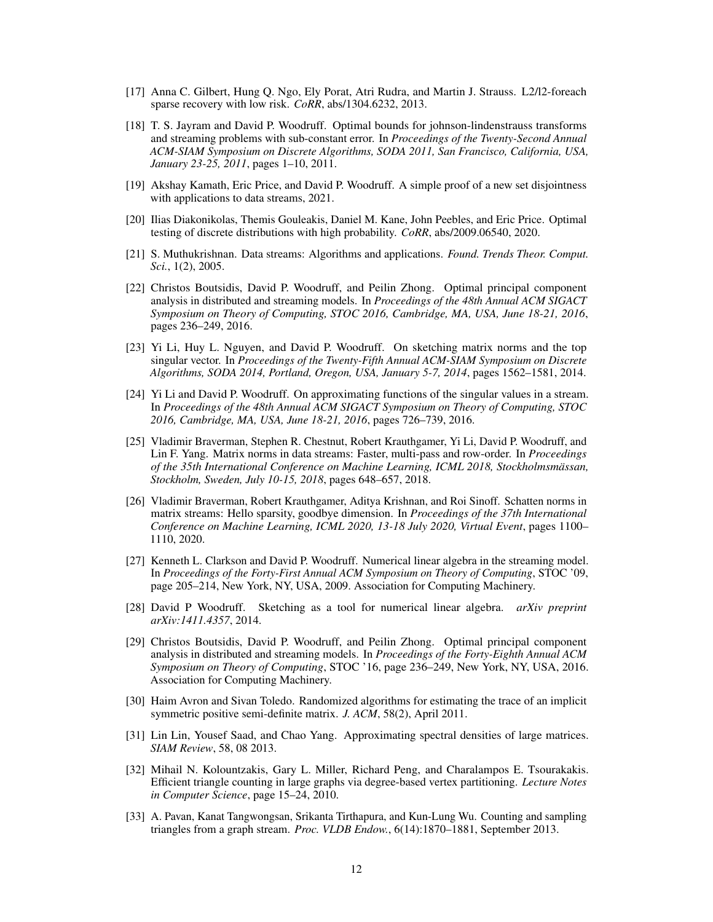- <span id="page-11-0"></span>[17] Anna C. Gilbert, Hung Q. Ngo, Ely Porat, Atri Rudra, and Martin J. Strauss. L2/l2-foreach sparse recovery with low risk. *CoRR*, abs/1304.6232, 2013.
- <span id="page-11-1"></span>[18] T. S. Jayram and David P. Woodruff. Optimal bounds for johnson-lindenstrauss transforms and streaming problems with sub-constant error. In *Proceedings of the Twenty-Second Annual ACM-SIAM Symposium on Discrete Algorithms, SODA 2011, San Francisco, California, USA, January 23-25, 2011*, pages 1–10, 2011.
- <span id="page-11-2"></span>[19] Akshay Kamath, Eric Price, and David P. Woodruff. A simple proof of a new set disjointness with applications to data streams, 2021.
- <span id="page-11-3"></span>[20] Ilias Diakonikolas, Themis Gouleakis, Daniel M. Kane, John Peebles, and Eric Price. Optimal testing of discrete distributions with high probability. *CoRR*, abs/2009.06540, 2020.
- <span id="page-11-4"></span>[21] S. Muthukrishnan. Data streams: Algorithms and applications. *Found. Trends Theor. Comput. Sci.*, 1(2), 2005.
- <span id="page-11-5"></span>[22] Christos Boutsidis, David P. Woodruff, and Peilin Zhong. Optimal principal component analysis in distributed and streaming models. In *Proceedings of the 48th Annual ACM SIGACT Symposium on Theory of Computing, STOC 2016, Cambridge, MA, USA, June 18-21, 2016*, pages 236–249, 2016.
- <span id="page-11-6"></span>[23] Yi Li, Huy L. Nguyen, and David P. Woodruff. On sketching matrix norms and the top singular vector. In *Proceedings of the Twenty-Fifth Annual ACM-SIAM Symposium on Discrete Algorithms, SODA 2014, Portland, Oregon, USA, January 5-7, 2014*, pages 1562–1581, 2014.
- <span id="page-11-7"></span>[24] Yi Li and David P. Woodruff. On approximating functions of the singular values in a stream. In *Proceedings of the 48th Annual ACM SIGACT Symposium on Theory of Computing, STOC 2016, Cambridge, MA, USA, June 18-21, 2016*, pages 726–739, 2016.
- <span id="page-11-8"></span>[25] Vladimir Braverman, Stephen R. Chestnut, Robert Krauthgamer, Yi Li, David P. Woodruff, and Lin F. Yang. Matrix norms in data streams: Faster, multi-pass and row-order. In *Proceedings of the 35th International Conference on Machine Learning, ICML 2018, Stockholmsmässan, Stockholm, Sweden, July 10-15, 2018*, pages 648–657, 2018.
- <span id="page-11-9"></span>[26] Vladimir Braverman, Robert Krauthgamer, Aditya Krishnan, and Roi Sinoff. Schatten norms in matrix streams: Hello sparsity, goodbye dimension. In *Proceedings of the 37th International Conference on Machine Learning, ICML 2020, 13-18 July 2020, Virtual Event*, pages 1100– 1110, 2020.
- <span id="page-11-10"></span>[27] Kenneth L. Clarkson and David P. Woodruff. Numerical linear algebra in the streaming model. In *Proceedings of the Forty-First Annual ACM Symposium on Theory of Computing*, STOC '09, page 205–214, New York, NY, USA, 2009. Association for Computing Machinery.
- <span id="page-11-11"></span>[28] David P Woodruff. Sketching as a tool for numerical linear algebra. *arXiv preprint arXiv:1411.4357*, 2014.
- <span id="page-11-12"></span>[29] Christos Boutsidis, David P. Woodruff, and Peilin Zhong. Optimal principal component analysis in distributed and streaming models. In *Proceedings of the Forty-Eighth Annual ACM Symposium on Theory of Computing*, STOC '16, page 236–249, New York, NY, USA, 2016. Association for Computing Machinery.
- <span id="page-11-13"></span>[30] Haim Avron and Sivan Toledo. Randomized algorithms for estimating the trace of an implicit symmetric positive semi-definite matrix. *J. ACM*, 58(2), April 2011.
- <span id="page-11-14"></span>[31] Lin Lin, Yousef Saad, and Chao Yang. Approximating spectral densities of large matrices. *SIAM Review*, 58, 08 2013.
- <span id="page-11-15"></span>[32] Mihail N. Kolountzakis, Gary L. Miller, Richard Peng, and Charalampos E. Tsourakakis. Efficient triangle counting in large graphs via degree-based vertex partitioning. *Lecture Notes in Computer Science*, page 15–24, 2010.
- <span id="page-11-16"></span>[33] A. Pavan, Kanat Tangwongsan, Srikanta Tirthapura, and Kun-Lung Wu. Counting and sampling triangles from a graph stream. *Proc. VLDB Endow.*, 6(14):1870–1881, September 2013.